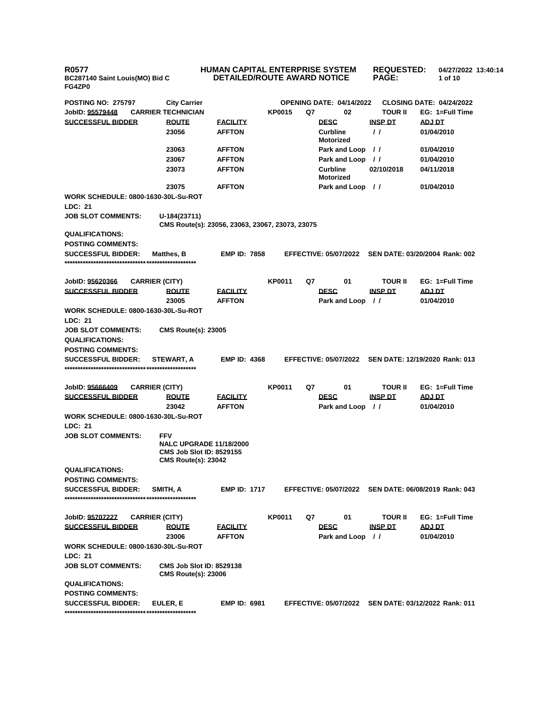**R0577 BC287140 Saint Louis(MO) Bid C FG4ZP0**

## **HUMAN CAPITAL ENTERPRISE SYSTEM DETAILED/ROUTE AWARD NOTICE REQUESTED: PAGE: 04/27/2022 13:40:14 1 of 10**

| <b>POSTING NO: 275797</b>                                    | <b>City Carrier</b>                                                             |                                  |               | <b>OPENING DATE: 04/14/2022</b>     |                                  | <b>CLOSING DATE: 04/24/2022</b>                      |
|--------------------------------------------------------------|---------------------------------------------------------------------------------|----------------------------------|---------------|-------------------------------------|----------------------------------|------------------------------------------------------|
| JobID: 95579448                                              | <b>CARRIER TECHNICIAN</b>                                                       |                                  | <b>KP0015</b> | Q7<br>02                            | TOUR II                          | EG: 1=Full Time                                      |
| <b>SUCCESSFUL BIDDER</b>                                     | <b>ROUTE</b>                                                                    | <b>FACILITY</b>                  |               | <b>DESC</b>                         | <b>INSP DT</b>                   | ADJ DT                                               |
|                                                              | 23056                                                                           | <b>AFFTON</b>                    |               | <b>Curbline</b><br><b>Motorized</b> | $\prime$ $\prime$                | 01/04/2010                                           |
|                                                              | 23063                                                                           | <b>AFFTON</b>                    |               | Park and Loop                       | $\prime$                         | 01/04/2010                                           |
|                                                              | 23067                                                                           | <b>AFFTON</b>                    |               | Park and Loop                       | $\frac{1}{2}$                    | 01/04/2010                                           |
|                                                              | 23073                                                                           | <b>AFFTON</b>                    |               | <b>Curbline</b><br><b>Motorized</b> | 02/10/2018                       | 04/11/2018                                           |
|                                                              | 23075                                                                           | <b>AFFTON</b>                    |               | Park and Loop //                    |                                  | 01/04/2010                                           |
| <b>WORK SCHEDULE: 0800-1630-30L-Su-ROT</b><br><b>LDC: 21</b> |                                                                                 |                                  |               |                                     |                                  |                                                      |
| <b>JOB SLOT COMMENTS:</b>                                    | U-184(23711)<br>CMS Route(s): 23056, 23063, 23067, 23073, 23075                 |                                  |               |                                     |                                  |                                                      |
| <b>QUALIFICATIONS:</b>                                       |                                                                                 |                                  |               |                                     |                                  |                                                      |
| <b>POSTING COMMENTS:</b>                                     |                                                                                 |                                  |               |                                     |                                  |                                                      |
| <b>SUCCESSFUL BIDDER:</b>                                    | <b>Matthes, B</b>                                                               | <b>EMP ID: 7858</b>              |               | <b>EFFECTIVE: 05/07/2022</b>        |                                  | SEN DATE: 03/20/2004 Rank: 002                       |
| JobID: 95620366                                              | <b>CARRIER (CITY)</b>                                                           |                                  | <b>KP0011</b> | 01<br>Q7                            | TOUR II                          | EG: 1=Full Time                                      |
| <b>SUCCESSFUL BIDDER</b>                                     | <b>ROUTE</b><br>23005                                                           | <b>EACILITY</b><br><b>AFFTON</b> |               | <b>DESC</b><br>Park and Loop        | <b>INSP DT</b><br>$\prime\prime$ | ADJ DT<br>01/04/2010                                 |
| <b>WORK SCHEDULE: 0800-1630-30L-Su-ROT</b><br>LDC: 21        |                                                                                 |                                  |               |                                     |                                  |                                                      |
| <b>JOB SLOT COMMENTS:</b>                                    | <b>CMS Route(s): 23005</b>                                                      |                                  |               |                                     |                                  |                                                      |
| <b>QUALIFICATIONS:</b>                                       |                                                                                 |                                  |               |                                     |                                  |                                                      |
| <b>POSTING COMMENTS:</b>                                     |                                                                                 |                                  |               |                                     |                                  |                                                      |
| <b>SUCCESSFUL BIDDER:</b>                                    | STEWART, A                                                                      | <b>EMP ID: 4368</b>              |               | <b>EFFECTIVE: 05/07/2022</b>        |                                  | SEN DATE: 12/19/2020 Rank: 013                       |
| JobID: 95666409                                              | <b>CARRIER (CITY)</b>                                                           |                                  | <b>KP0011</b> | Q7<br>01                            | TOUR II                          | EG: 1=Full Time                                      |
| <b>SUCCESSFUL BIDDER</b>                                     | <b>ROUTE</b>                                                                    | <b>FACILITY</b>                  |               | <b>DESC</b>                         | <b>INSP DT</b>                   | ADJ DT                                               |
|                                                              | 23042                                                                           | <b>AFFTON</b>                    |               | Park and Loop                       | $\prime\prime$                   | 01/04/2010                                           |
| WORK SCHEDULE: 0800-1630-30L-Su-ROT                          |                                                                                 |                                  |               |                                     |                                  |                                                      |
| LDC: 21                                                      |                                                                                 |                                  |               |                                     |                                  |                                                      |
| <b>JOB SLOT COMMENTS:</b>                                    | <b>FFV</b><br><b>NALC UPGRADE 11/18/2000</b><br><b>CMS Job Slot ID: 8529155</b> |                                  |               |                                     |                                  |                                                      |
|                                                              | <b>CMS Route(s): 23042</b>                                                      |                                  |               |                                     |                                  |                                                      |
| <b>QUALIFICATIONS:</b><br><b>POSTING COMMENTS:</b>           |                                                                                 |                                  |               |                                     |                                  |                                                      |
| <b>SUCCESSFUL BIDDER:</b>                                    | SMITH, A                                                                        | <b>EMP ID: 1717</b>              |               |                                     |                                  | EFFECTIVE: 05/07/2022 SEN DATE: 06/08/2019 Rank: 043 |
|                                                              |                                                                                 |                                  |               |                                     |                                  |                                                      |
| JobID: 95707227                                              | <b>CARRIER (CITY)</b>                                                           |                                  | <b>KP0011</b> | Q7<br>01                            | <b>TOUR II</b>                   | EG: 1=Full Time                                      |
| <b>SUCCESSFUL BIDDER</b>                                     | <b>ROUTE</b>                                                                    | <b>FACILITY</b>                  |               | <b>DESC</b>                         | <b>INSP DT</b>                   | ADJ DT                                               |
|                                                              | 23006                                                                           | <b>AFFTON</b>                    |               | Park and Loop //                    |                                  | 01/04/2010                                           |
| <b>WORK SCHEDULE: 0800-1630-30L-Su-ROT</b><br><b>LDC: 21</b> |                                                                                 |                                  |               |                                     |                                  |                                                      |
| <b>JOB SLOT COMMENTS:</b>                                    | <b>CMS Job Slot ID: 8529138</b><br><b>CMS Route(s): 23006</b>                   |                                  |               |                                     |                                  |                                                      |
| <b>QUALIFICATIONS:</b>                                       |                                                                                 |                                  |               |                                     |                                  |                                                      |
| <b>POSTING COMMENTS:</b>                                     |                                                                                 |                                  |               |                                     |                                  |                                                      |
| <b>SUCCESSFUL BIDDER:</b>                                    | EULER, E                                                                        | <b>EMP ID: 6981</b>              |               |                                     |                                  | EFFECTIVE: 05/07/2022 SEN DATE: 03/12/2022 Rank: 011 |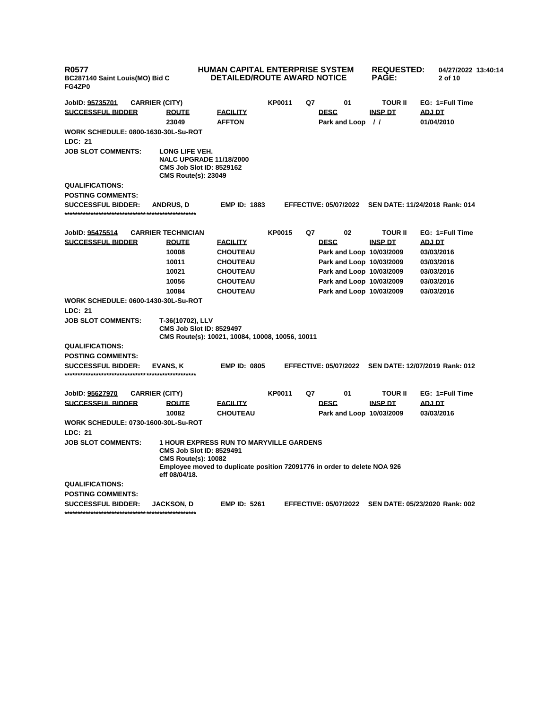| <b>R0577</b><br>BC287140 Saint Louis(MO) Bid C<br>FG4ZP0                  | <b>HUMAN CAPITAL ENTERPRISE SYSTEM</b><br><b>DETAILED/ROUTE AWARD NOTICE</b>                                                                                  |               |             |                              | <b>REQUESTED:</b><br><b>PAGE:</b> | 04/27/2022 13:40:14<br>2 of 10 |  |
|---------------------------------------------------------------------------|---------------------------------------------------------------------------------------------------------------------------------------------------------------|---------------|-------------|------------------------------|-----------------------------------|--------------------------------|--|
| JobID: 95735701<br><b>CARRIER (CITY)</b>                                  |                                                                                                                                                               | <b>KP0011</b> | Q7          | 01                           | <b>TOUR II</b>                    | EG: 1=Full Time                |  |
| <b>SUCCESSFUL BIDDER</b><br><b>ROUTE</b><br>23049                         | <b>FACILITY</b><br><b>AFFTON</b>                                                                                                                              |               | <b>DESC</b> | Park and Loop //             | <b>INSP DT</b>                    | <b>ADJ DT</b><br>01/04/2010    |  |
| <b>WORK SCHEDULE: 0800-1630-30L-Su-ROT</b>                                |                                                                                                                                                               |               |             |                              |                                   |                                |  |
| <b>LDC: 21</b>                                                            |                                                                                                                                                               |               |             |                              |                                   |                                |  |
| <b>JOB SLOT COMMENTS:</b><br>LONG LIFE VEH.<br><b>CMS Route(s): 23049</b> | <b>NALC UPGRADE 11/18/2000</b><br><b>CMS Job Slot ID: 8529162</b>                                                                                             |               |             |                              |                                   |                                |  |
| QUALIFICATIONS:                                                           |                                                                                                                                                               |               |             |                              |                                   |                                |  |
| <b>POSTING COMMENTS:</b>                                                  |                                                                                                                                                               |               |             |                              |                                   |                                |  |
| <b>SUCCESSFUL BIDDER:</b><br><b>ANDRUS, D</b>                             | <b>EMP ID: 1883</b>                                                                                                                                           |               |             | <b>EFFECTIVE: 05/07/2022</b> |                                   | SEN DATE: 11/24/2018 Rank: 014 |  |
| <b>CARRIER TECHNICIAN</b><br>JobID: 95475514                              |                                                                                                                                                               | <b>KP0015</b> | Q7          | 02                           | <b>TOUR II</b>                    | EG: 1=Full Time                |  |
| <b>SUCCESSFUL BIDDER</b><br><b>ROUTE</b>                                  | <b>FACILITY</b>                                                                                                                                               |               | <b>DESC</b> |                              | <b>INSP DT</b>                    | <b>ADJ DT</b>                  |  |
| 10008                                                                     | <b>CHOUTEAU</b>                                                                                                                                               |               |             | Park and Loop 10/03/2009     |                                   | 03/03/2016                     |  |
| 10011                                                                     | <b>CHOUTEAU</b>                                                                                                                                               |               |             | Park and Loop 10/03/2009     |                                   | 03/03/2016                     |  |
| 10021                                                                     | <b>CHOUTEAU</b>                                                                                                                                               |               |             | Park and Loop 10/03/2009     |                                   | 03/03/2016                     |  |
| 10056                                                                     | <b>CHOUTEAU</b>                                                                                                                                               |               |             | Park and Loop 10/03/2009     |                                   | 03/03/2016                     |  |
| 10084                                                                     | <b>CHOUTEAU</b>                                                                                                                                               |               |             | Park and Loop 10/03/2009     |                                   | 03/03/2016                     |  |
| <b>WORK SCHEDULE: 0600-1430-30L-Su-ROT</b><br>LDC: 21                     |                                                                                                                                                               |               |             |                              |                                   |                                |  |
| <b>JOB SLOT COMMENTS:</b><br>T-36(10702), LLV                             | <b>CMS Job Slot ID: 8529497</b><br>CMS Route(s): 10021, 10084, 10008, 10056, 10011                                                                            |               |             |                              |                                   |                                |  |
| <b>QUALIFICATIONS:</b>                                                    |                                                                                                                                                               |               |             |                              |                                   |                                |  |
| <b>POSTING COMMENTS:</b>                                                  |                                                                                                                                                               |               |             |                              |                                   |                                |  |
| <b>SUCCESSFUL BIDDER:</b><br>EVANS, K                                     | <b>EMP ID: 0805</b>                                                                                                                                           |               |             | <b>EFFECTIVE: 05/07/2022</b> |                                   | SEN DATE: 12/07/2019 Rank: 012 |  |
| JobID: 95627970<br><b>CARRIER (CITY)</b>                                  |                                                                                                                                                               | <b>KP0011</b> | Q7          | 01                           | <b>TOUR II</b>                    | EG: 1=Full Time                |  |
| <b>SUCCESSFUL BIDDER</b><br><b>ROUTE</b>                                  | <b>FACILITY</b>                                                                                                                                               |               | <b>DESC</b> |                              | <b>INSP DT</b>                    | <b>ADJ DT</b>                  |  |
| 10082                                                                     | <b>CHOUTEAU</b>                                                                                                                                               |               |             | Park and Loop 10/03/2009     |                                   | 03/03/2016                     |  |
| <b>WORK SCHEDULE: 0730-1600-30L-Su-ROT</b>                                |                                                                                                                                                               |               |             |                              |                                   |                                |  |
| <b>LDC: 21</b>                                                            |                                                                                                                                                               |               |             |                              |                                   |                                |  |
| <b>JOB SLOT COMMENTS:</b><br><b>CMS Route(s): 10082</b><br>eff 08/04/18.  | <b>1 HOUR EXPRESS RUN TO MARYVILLE GARDENS</b><br><b>CMS Job Slot ID: 8529491</b><br>Employee moved to duplicate position 72091776 in order to delete NOA 926 |               |             |                              |                                   |                                |  |
| <b>QUALIFICATIONS:</b>                                                    |                                                                                                                                                               |               |             |                              |                                   |                                |  |
| <b>POSTING COMMENTS:</b>                                                  |                                                                                                                                                               |               |             |                              |                                   |                                |  |
| <b>SUCCESSFUL BIDDER:</b><br>JACKSON, D                                   | <b>EMP ID: 5261</b>                                                                                                                                           |               |             | <b>EFFECTIVE: 05/07/2022</b> |                                   | SEN DATE: 05/23/2020 Rank: 002 |  |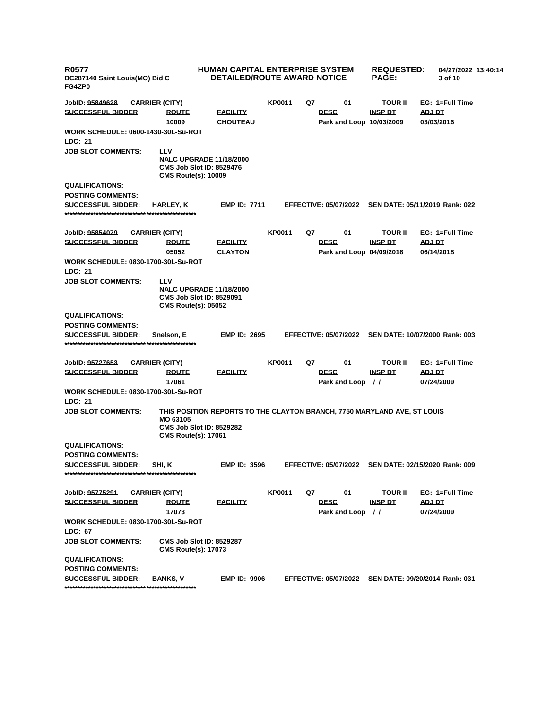| R0577<br>BC287140 Saint Louis(MO) Bid C<br>FG4ZP0 |                                                                                                               | <b>HUMAN CAPITAL ENTERPRISE SYSTEM</b><br><b>DETAILED/ROUTE AWARD NOTICE</b> |               |    |                                         | <b>REQUESTED:</b><br><b>PAGE:</b> | 04/27/2022 13:40:14<br>3 of 10                       |  |
|---------------------------------------------------|---------------------------------------------------------------------------------------------------------------|------------------------------------------------------------------------------|---------------|----|-----------------------------------------|-----------------------------------|------------------------------------------------------|--|
| JobID: <u>95849628</u>                            | <b>CARRIER (CITY)</b>                                                                                         |                                                                              | <b>KP0011</b> | Q7 | 01                                      | <b>TOUR II</b>                    | EG: 1=Full Time                                      |  |
| <b>SUCCESSFUL BIDDER</b>                          | <b>ROUTE</b>                                                                                                  | <b>FACILITY</b>                                                              |               |    | <b>DESC</b>                             | <b>INSP DT</b>                    | ADJ DT                                               |  |
|                                                   | 10009                                                                                                         | <b>CHOUTEAU</b>                                                              |               |    | Park and Loop 10/03/2009                |                                   | 03/03/2016                                           |  |
| WORK SCHEDULE: 0600-1430-30L-Su-ROT               |                                                                                                               |                                                                              |               |    |                                         |                                   |                                                      |  |
| <b>LDC: 21</b>                                    |                                                                                                               |                                                                              |               |    |                                         |                                   |                                                      |  |
| <b>JOB SLOT COMMENTS:</b>                         | <b>LLV</b><br><b>NALC UPGRADE 11/18/2000</b><br><b>CMS Job Slot ID: 8529476</b><br><b>CMS Route(s): 10009</b> |                                                                              |               |    |                                         |                                   |                                                      |  |
| <b>QUALIFICATIONS:</b>                            |                                                                                                               |                                                                              |               |    |                                         |                                   |                                                      |  |
| <b>POSTING COMMENTS:</b>                          |                                                                                                               |                                                                              |               |    |                                         |                                   |                                                      |  |
| <b>SUCCESSFUL BIDDER:</b>                         | <b>HARLEY, K</b>                                                                                              | <b>EMP ID: 7711</b>                                                          |               |    | <b>EFFECTIVE: 05/07/2022</b>            |                                   | SEN DATE: 05/11/2019 Rank: 022                       |  |
| JobID: <u>95854079</u>                            | <b>CARRIER (CITY)</b>                                                                                         |                                                                              | KP0011        | Q7 | 01                                      | <b>TOUR II</b>                    | EG: 1=Full Time                                      |  |
| <b>SUCCESSFUL BIDDER</b>                          | <b>ROUTE</b><br>05052                                                                                         | <b>FACILITY</b><br><b>CLAYTON</b>                                            |               |    | <b>DESC</b><br>Park and Loop 04/09/2018 | <b>INSP DT</b>                    | <b>ADJ DT</b><br>06/14/2018                          |  |
| WORK SCHEDULE: 0830-1700-30L-Su-ROT               |                                                                                                               |                                                                              |               |    |                                         |                                   |                                                      |  |
| <b>LDC: 21</b>                                    |                                                                                                               |                                                                              |               |    |                                         |                                   |                                                      |  |
| <b>JOB SLOT COMMENTS:</b>                         | LLV<br><b>NALC UPGRADE 11/18/2000</b><br><b>CMS Job Slot ID: 8529091</b><br><b>CMS Route(s): 05052</b>        |                                                                              |               |    |                                         |                                   |                                                      |  |
| <b>QUALIFICATIONS:</b>                            |                                                                                                               |                                                                              |               |    |                                         |                                   |                                                      |  |
| <b>POSTING COMMENTS:</b>                          |                                                                                                               |                                                                              |               |    |                                         |                                   |                                                      |  |
| <b>SUCCESSFUL BIDDER:</b>                         | Snelson, E                                                                                                    | <b>EMP ID: 2695</b>                                                          |               |    | <b>EFFECTIVE: 05/07/2022</b>            |                                   | SEN DATE: 10/07/2000 Rank: 003                       |  |
|                                                   |                                                                                                               |                                                                              |               |    |                                         |                                   |                                                      |  |
| JobID: <u>95727653</u>                            | <b>CARRIER (CITY)</b>                                                                                         |                                                                              | <b>KP0011</b> | Q7 | 01                                      | <b>TOUR II</b>                    | EG: 1=Full Time                                      |  |
| <b>SUCCESSFUL BIDDER</b>                          | <u>ROUTE</u>                                                                                                  | <b>FACILITY</b>                                                              |               |    | <b>DESC</b>                             | <b>INSP DT</b>                    | <b>ADJ DT</b>                                        |  |
|                                                   | 17061                                                                                                         |                                                                              |               |    | Park and Loop //                        |                                   | 07/24/2009                                           |  |
| WORK SCHEDULE: 0830-1700-30L-Su-ROT               |                                                                                                               |                                                                              |               |    |                                         |                                   |                                                      |  |
| <b>LDC: 21</b>                                    |                                                                                                               |                                                                              |               |    |                                         |                                   |                                                      |  |
| <b>JOB SLOT COMMENTS:</b>                         | MO 63105<br><b>CMS Job Slot ID: 8529282</b><br><b>CMS Route(s): 17061</b>                                     | THIS POSITION REPORTS TO THE CLAYTON BRANCH, 7750 MARYLAND AVE, ST LOUIS     |               |    |                                         |                                   |                                                      |  |
| <b>QUALIFICATIONS:</b>                            |                                                                                                               |                                                                              |               |    |                                         |                                   |                                                      |  |
| <b>POSTING COMMENTS:</b>                          |                                                                                                               |                                                                              |               |    |                                         |                                   |                                                      |  |
| <b>SUCCESSFUL BIDDER:</b>                         | SHI, K                                                                                                        | <b>EMP ID: 3596</b>                                                          |               |    |                                         |                                   | EFFECTIVE: 05/07/2022 SEN DATE: 02/15/2020 Rank: 009 |  |
| JobID: <u>95775291</u>                            | <b>CARRIER (CITY)</b>                                                                                         |                                                                              | <b>KP0011</b> | Q7 | 01                                      | <b>TOUR II</b>                    | EG: 1=Full Time                                      |  |
| SUCCESSFUL BIDDER                                 | <b>ROUTE</b><br>17073                                                                                         | <b>FACILITY</b>                                                              |               |    | <b>DESC</b><br>Park and Loop //         | <b>INSP DT</b>                    | ADJ DT<br>07/24/2009                                 |  |
| <b>WORK SCHEDULE: 0830-1700-30L-Su-ROT</b>        |                                                                                                               |                                                                              |               |    |                                         |                                   |                                                      |  |
| LDC: 67<br><b>JOB SLOT COMMENTS:</b>              | <b>CMS Job Slot ID: 8529287</b><br><b>CMS Route(s): 17073</b>                                                 |                                                                              |               |    |                                         |                                   |                                                      |  |
| <b>QUALIFICATIONS:</b>                            |                                                                                                               |                                                                              |               |    |                                         |                                   |                                                      |  |
| <b>POSTING COMMENTS:</b>                          |                                                                                                               |                                                                              |               |    |                                         |                                   |                                                      |  |
| <b>SUCCESSFUL BIDDER:</b>                         | <b>BANKS, V</b>                                                                                               | <b>EMP ID: 9906</b>                                                          |               |    | <b>EFFECTIVE: 05/07/2022</b>            |                                   | SEN DATE: 09/20/2014 Rank: 031                       |  |
|                                                   |                                                                                                               |                                                                              |               |    |                                         |                                   |                                                      |  |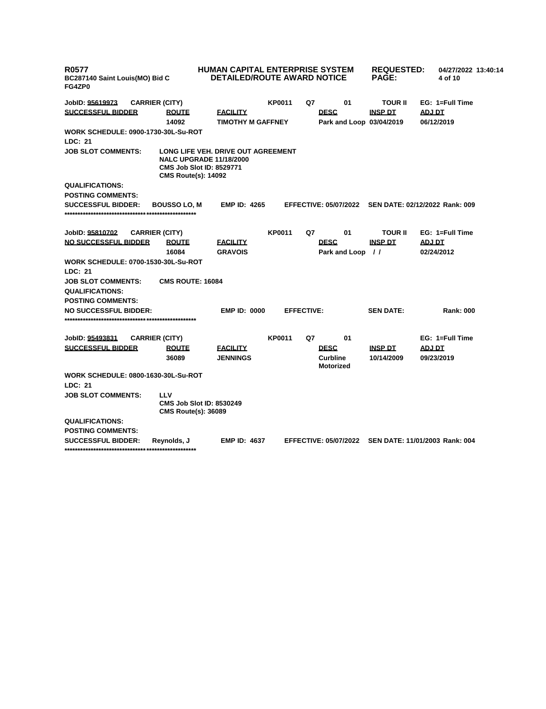| R0577<br>BC287140 Saint Louis(MO) Bid C<br>FG4ZP0 |                                                                                                 | <b>HUMAN CAPITAL ENTERPRISE SYSTEM</b><br><b>DETAILED/ROUTE AWARD NOTICE</b> |               |                   |                                     | <b>REQUESTED:</b><br><b>PAGE:</b> |               | 04/27/2022 13:40:14<br>4 of 10 |  |
|---------------------------------------------------|-------------------------------------------------------------------------------------------------|------------------------------------------------------------------------------|---------------|-------------------|-------------------------------------|-----------------------------------|---------------|--------------------------------|--|
| JobID: 95619973                                   | <b>CARRIER (CITY)</b>                                                                           |                                                                              | <b>KP0011</b> | Q7                | 01                                  | <b>TOUR II</b>                    |               | EG: 1=Full Time                |  |
| <b>SUCCESSFUL BIDDER</b>                          | <b>ROUTE</b>                                                                                    | <b>FACILITY</b>                                                              |               |                   | <b>DESC</b>                         | <b>INSP DT</b>                    | ADJ DT        |                                |  |
|                                                   | 14092                                                                                           | <b>TIMOTHY M GAFFNEY</b>                                                     |               |                   | Park and Loop 03/04/2019            |                                   |               | 06/12/2019                     |  |
| <b>WORK SCHEDULE: 0900-1730-30L-Su-ROT</b>        |                                                                                                 |                                                                              |               |                   |                                     |                                   |               |                                |  |
| <b>LDC: 21</b>                                    |                                                                                                 |                                                                              |               |                   |                                     |                                   |               |                                |  |
| <b>JOB SLOT COMMENTS:</b>                         | <b>NALC UPGRADE 11/18/2000</b><br><b>CMS Job Slot ID: 8529771</b><br><b>CMS Route(s): 14092</b> | LONG LIFE VEH. DRIVE OUT AGREEMENT                                           |               |                   |                                     |                                   |               |                                |  |
| <b>QUALIFICATIONS:</b>                            |                                                                                                 |                                                                              |               |                   |                                     |                                   |               |                                |  |
| <b>POSTING COMMENTS:</b>                          |                                                                                                 |                                                                              |               |                   |                                     |                                   |               |                                |  |
| <b>SUCCESSFUL BIDDER:</b>                         | <b>BOUSSO LO, M</b>                                                                             | <b>EMP ID: 4265</b>                                                          |               |                   | <b>EFFECTIVE: 05/07/2022</b>        | SEN DATE: 02/12/2022 Rank: 009    |               |                                |  |
| JobID: 95810702                                   | <b>CARRIER (CITY)</b>                                                                           |                                                                              | <b>KP0011</b> | Q7                | 01                                  | <b>TOUR II</b>                    |               | EG: 1=Full Time                |  |
| <b>NO SUCCESSFUL BIDDER</b>                       | <b>ROUTE</b><br>16084                                                                           | <b>FACILITY</b><br><b>GRAVOIS</b>                                            |               |                   | <b>DESC</b><br>Park and Loop        | <b>INSP DT</b><br>$\frac{1}{2}$   | <b>ADJ DT</b> | 02/24/2012                     |  |
| <b>WORK SCHEDULE: 0700-1530-30L-Su-ROT</b>        |                                                                                                 |                                                                              |               |                   |                                     |                                   |               |                                |  |
| <b>LDC: 21</b>                                    |                                                                                                 |                                                                              |               |                   |                                     |                                   |               |                                |  |
| <b>JOB SLOT COMMENTS:</b>                         | <b>CMS ROUTE: 16084</b>                                                                         |                                                                              |               |                   |                                     |                                   |               |                                |  |
| <b>QUALIFICATIONS:</b>                            |                                                                                                 |                                                                              |               |                   |                                     |                                   |               |                                |  |
| <b>POSTING COMMENTS:</b>                          |                                                                                                 |                                                                              |               |                   |                                     |                                   |               |                                |  |
| <b>NO SUCCESSFUL BIDDER:</b>                      |                                                                                                 | <b>EMP ID: 0000</b>                                                          |               | <b>EFFECTIVE:</b> |                                     | <b>SEN DATE:</b>                  |               | <b>Rank: 000</b>               |  |
| JobID: 95493831                                   | <b>CARRIER (CITY)</b>                                                                           |                                                                              | <b>KP0011</b> | Q7                | 01                                  |                                   |               | EG: 1=Full Time                |  |
| <b>SUCCESSFUL BIDDER</b>                          | <b>ROUTE</b>                                                                                    | <b>FACILITY</b>                                                              |               |                   | <b>DESC</b>                         | <b>INSP DT</b>                    | <b>ADJ DT</b> |                                |  |
|                                                   | 36089                                                                                           | <b>JENNINGS</b>                                                              |               |                   | <b>Curbline</b><br><b>Motorized</b> | 10/14/2009                        |               | 09/23/2019                     |  |
| <b>WORK SCHEDULE: 0800-1630-30L-Su-ROT</b>        |                                                                                                 |                                                                              |               |                   |                                     |                                   |               |                                |  |
| LDC: 21                                           |                                                                                                 |                                                                              |               |                   |                                     |                                   |               |                                |  |
| <b>JOB SLOT COMMENTS:</b>                         | LLV<br><b>CMS Job Slot ID: 8530249</b><br><b>CMS Route(s): 36089</b>                            |                                                                              |               |                   |                                     |                                   |               |                                |  |
| <b>QUALIFICATIONS:</b>                            |                                                                                                 |                                                                              |               |                   |                                     |                                   |               |                                |  |
| <b>POSTING COMMENTS:</b>                          |                                                                                                 |                                                                              |               |                   |                                     |                                   |               |                                |  |
| <b>SUCCESSFUL BIDDER:</b>                         | Reynolds, J                                                                                     | <b>EMP ID: 4637</b>                                                          |               |                   | <b>EFFECTIVE: 05/07/2022</b>        | SEN DATE: 11/01/2003 Rank: 004    |               |                                |  |
|                                                   |                                                                                                 |                                                                              |               |                   |                                     |                                   |               |                                |  |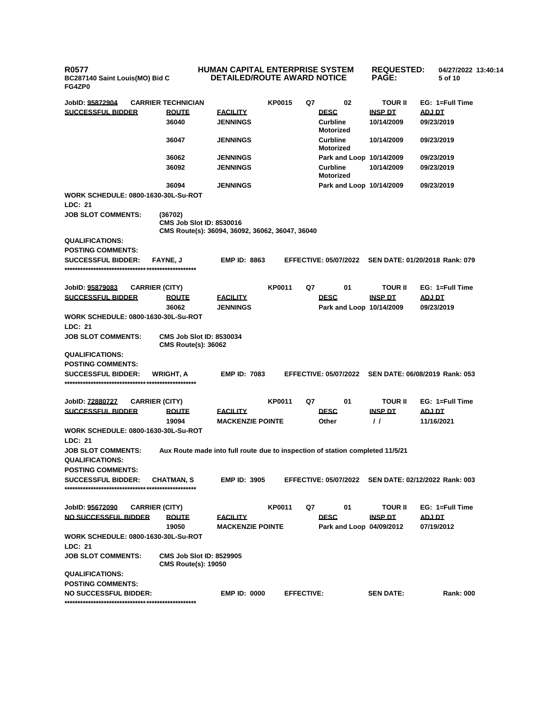**R0577 BC287140 Saint Louis(MO) Bid C FG4ZP0**

## **HUMAN CAPITAL ENTERPRISE SYSTEM DETAILED/ROUTE AWARD NOTICE**

**REQUESTED: PAGE:**

**04/27/2022 13:40:14**

**5 of 10** 

**JobID: 95872904 CARRIER TECHNICIAN KP0015 Q7 02 TOUR II EG: 1=Full Time SUCCESSFUL BIDDER ROUTE FACILITY DESC INSP DT ADJ DT 36040 JENNINGS Curbline Motorized 10/14/2009 09/23/2019 36047 JENNINGS Curbline Motorized 10/14/2009 09/23/2019 36062 JENNINGS Park and Loop 10/14/2009 09/23/2019 36092 JENNINGS Curbline Motorized 10/14/2009 09/23/2019 36094 JENNINGS Park and Loop 10/14/2009 09/23/2019 WORK SCHEDULE: 0800-1630-30L-Su-ROT LDC: 21 JOB SLOT COMMENTS: (36702) CMS Job Slot ID: 8530016 CMS Route(s): 36094, 36092, 36062, 36047, 36040 QUALIFICATIONS: POSTING COMMENTS: SUCCESSFUL BIDDER: FAYNE, J EMP ID: 8863 EFFECTIVE: 05/07/2022 SEN DATE: 01/20/2018 Rank: 079 \*\*\*\*\*\*\*\*\*\*\*\*\*\*\*\*\*\*\*\*\*\*\*\*\*\*\*\*\*\*\*\*\*\*\*\*\*\*\*\*\*\*\*\*\*\*\*\*\*\* JobID: 95879083 CARRIER (CITY) KP0011 Q7 01 TOUR II EG: 1=Full Time SUCCESSFUL BIDDER ROUTE FACILITY DESC INSP DT ADJ DT 36062 JENNINGS Park and Loop 10/14/2009 09/23/2019 WORK SCHEDULE: 0800-1630-30L-Su-ROT LDC: 21 JOB SLOT COMMENTS: CMS Job Slot ID: 8530034 CMS Route(s): 36062 QUALIFICATIONS: POSTING COMMENTS: SUCCESSFUL BIDDER: WRIGHT, A EMP ID: 7083 EFFECTIVE: 05/07/2022 SEN DATE: 06/08/2019 Rank: 053 \*\*\*\*\*\*\*\*\*\*\*\*\*\*\*\*\*\*\*\*\*\*\*\*\*\*\*\*\*\*\*\*\*\*\*\*\*\*\*\*\*\*\*\*\*\*\*\*\*\* JobID: 72880727 CARRIER (CITY) KP0011 Q7 01 TOUR II EG: 1=Full Time SUCCESSFUL BIDDER ROUTE FACILITY DESC INSP DT ADJ DT 19094 MACKENZIE POINTE Other / / 11/16/2021 WORK SCHEDULE: 0800-1630-30L-Su-ROT LDC: 21 JOB SLOT COMMENTS: Aux Route made into full route due to inspection of station completed 11/5/21 QUALIFICATIONS: POSTING COMMENTS: SUCCESSFUL BIDDER: CHATMAN, S EMP ID: 3905 EFFECTIVE: 05/07/2022 SEN DATE: 02/12/2022 Rank: 003 \*\*\*\*\*\*\*\*\*\*\*\*\*\*\*\*\*\*\*\*\*\*\*\*\*\*\*\*\*\*\*\*\*\*\*\*\*\*\*\*\*\*\*\*\*\*\*\*\*\* JobID: 95672090 CARRIER (CITY) KP0011 Q7 01 TOUR II EG: 1=Full Time NO SUCCESSFUL BIDDER ROUTE FACILITY DESC INSP DT ADJ DT 19050 MACKENZIE POINTE Park and Loop 04/09/2012 07/19/2012 WORK SCHEDULE: 0800-1630-30L-Su-ROT LDC: 21 JOB SLOT COMMENTS: CMS Job Slot ID: 8529905 CMS Route(s): 19050 QUALIFICATIONS: POSTING COMMENTS: NO SUCCESSFUL BIDDER: EMP ID: 0000 EFFECTIVE: SEN DATE: Rank: 000**

**\*\*\*\*\*\*\*\*\*\*\*\*\*\*\*\*\*\*\*\*\*\*\*\*\*\*\*\*\*\*\*\*\*\*\*\*\*\*\*\*\*\*\*\*\*\*\*\*\*\***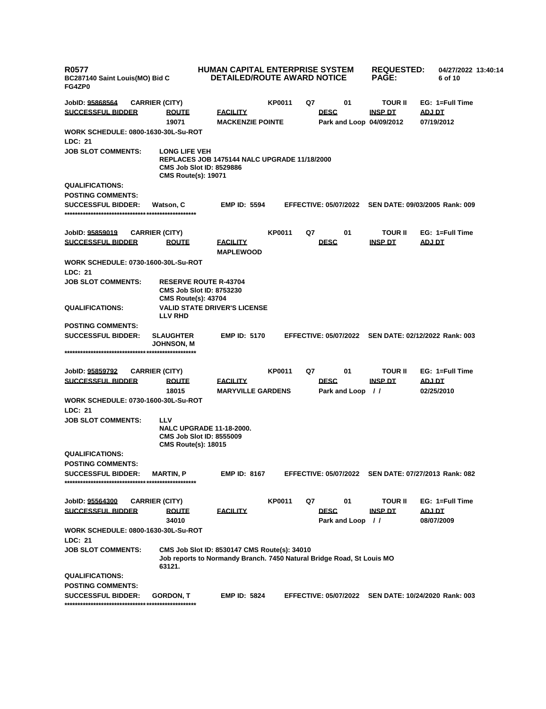| <b>R0577</b><br>BC287140 Saint Louis(MO) Bid C<br>FG4ZP0     |                                                                                                         | <b>HUMAN CAPITAL ENTERPRISE SYSTEM</b><br><b>DETAILED/ROUTE AWARD NOTICE</b>                                          |               |    |                                         | <b>REQUESTED:</b><br><b>PAGE:</b> | 04/27/2022 13:40:14<br>6 of 10 |  |
|--------------------------------------------------------------|---------------------------------------------------------------------------------------------------------|-----------------------------------------------------------------------------------------------------------------------|---------------|----|-----------------------------------------|-----------------------------------|--------------------------------|--|
| JobID: 95868564                                              | <b>CARRIER (CITY)</b>                                                                                   |                                                                                                                       | <b>KP0011</b> | Q7 | 01                                      | <b>TOUR II</b>                    | EG: 1=Full Time                |  |
| <b>SUCCESSFUL BIDDER</b>                                     | <b>ROUTE</b><br>19071                                                                                   | <u>FACILITY</u><br><b>MACKENZIE POINTE</b>                                                                            |               |    | <b>DESC</b><br>Park and Loop 04/09/2012 | <b>INSP DT</b>                    | ADJ DT<br>07/19/2012           |  |
| WORK SCHEDULE: 0800-1630-30L-Su-ROT<br>LDC: 21               |                                                                                                         |                                                                                                                       |               |    |                                         |                                   |                                |  |
| <b>JOB SLOT COMMENTS:</b>                                    | <b>LONG LIFE VEH</b><br><b>CMS Job Slot ID: 8529886</b><br><b>CMS Route(s): 19071</b>                   | <b>REPLACES JOB 1475144 NALC UPGRADE 11/18/2000</b>                                                                   |               |    |                                         |                                   |                                |  |
| <b>QUALIFICATIONS:</b>                                       |                                                                                                         |                                                                                                                       |               |    |                                         |                                   |                                |  |
| <b>POSTING COMMENTS:</b>                                     |                                                                                                         |                                                                                                                       |               |    |                                         |                                   |                                |  |
| <b>SUCCESSFUL BIDDER:</b>                                    | Watson, C                                                                                               | <b>EMP ID: 5594</b>                                                                                                   |               |    | <b>EFFECTIVE: 05/07/2022</b>            |                                   | SEN DATE: 09/03/2005 Rank: 009 |  |
| JobID: 95859019                                              | <b>CARRIER (CITY)</b>                                                                                   |                                                                                                                       | <b>KP0011</b> | Q7 | 01                                      | <b>TOUR II</b>                    | EG: 1=Full Time                |  |
| <b>SUCCESSFUL BIDDER</b>                                     | <b>ROUTE</b>                                                                                            | <u>FACILITY</u><br><b>MAPLEWOOD</b>                                                                                   |               |    | <b>DESC</b>                             | <b>INSP DT</b>                    | <b>ADJ DT</b>                  |  |
| <b>WORK SCHEDULE: 0730-1600-30L-Su-ROT</b><br><b>LDC: 21</b> |                                                                                                         |                                                                                                                       |               |    |                                         |                                   |                                |  |
| <b>JOB SLOT COMMENTS:</b>                                    | <b>RESERVE ROUTE R-43704</b><br><b>CMS Job Slot ID: 8753230</b><br><b>CMS Route(s): 43704</b>           |                                                                                                                       |               |    |                                         |                                   |                                |  |
| <b>QUALIFICATIONS:</b>                                       | <b>LLV RHD</b>                                                                                          | <b>VALID STATE DRIVER'S LICENSE</b>                                                                                   |               |    |                                         |                                   |                                |  |
| <b>POSTING COMMENTS:</b>                                     |                                                                                                         |                                                                                                                       |               |    |                                         |                                   |                                |  |
| <b>SUCCESSFUL BIDDER:</b>                                    | <b>SLAUGHTER</b><br>JOHNSON, M                                                                          | <b>EMP ID: 5170</b>                                                                                                   |               |    | <b>EFFECTIVE: 05/07/2022</b>            |                                   | SEN DATE: 02/12/2022 Rank: 003 |  |
|                                                              |                                                                                                         |                                                                                                                       |               |    |                                         |                                   |                                |  |
| JobID: 95859792                                              | <b>CARRIER (CITY)</b>                                                                                   |                                                                                                                       | <b>KP0011</b> | Q7 | 01                                      | <b>TOUR II</b>                    | EG: 1=Full Time                |  |
| <b>SUCCESSFUL BIDDER</b>                                     | <b>ROUTE</b>                                                                                            | <u>FACILITY</u>                                                                                                       |               |    | <b>DESC</b>                             | <b>INSP DT</b>                    | <b>ADJ DT</b>                  |  |
|                                                              | 18015                                                                                                   | <b>MARYVILLE GARDENS</b>                                                                                              |               |    | Park and Loop //                        |                                   | 02/25/2010                     |  |
| <b>WORK SCHEDULE: 0730-1600-30L-Su-ROT</b>                   |                                                                                                         |                                                                                                                       |               |    |                                         |                                   |                                |  |
| LDC: 21                                                      |                                                                                                         |                                                                                                                       |               |    |                                         |                                   |                                |  |
| <b>JOB SLOT COMMENTS:</b>                                    | LLV<br><b>NALC UPGRADE 11-18-2000.</b><br><b>CMS Job Slot ID: 8555009</b><br><b>CMS Route(s): 18015</b> |                                                                                                                       |               |    |                                         |                                   |                                |  |
| <b>QUALIFICATIONS:</b>                                       |                                                                                                         |                                                                                                                       |               |    |                                         |                                   |                                |  |
| <b>POSTING COMMENTS:</b>                                     |                                                                                                         |                                                                                                                       |               |    |                                         |                                   |                                |  |
| <b>SUCCESSFUL BIDDER:</b>                                    | <b>MARTIN, P</b>                                                                                        | <b>EMP ID: 8167</b>                                                                                                   |               |    | <b>EFFECTIVE: 05/07/2022</b>            |                                   | SEN DATE: 07/27/2013 Rank: 082 |  |
| JobID: 95564300                                              | <b>CARRIER (CITY)</b>                                                                                   |                                                                                                                       | <b>KP0011</b> | Q7 | 01                                      | <b>TOUR II</b>                    | EG: 1=Full Time                |  |
| <b>SUCCESSFUL BIDDER</b>                                     | <b>ROUTE</b><br>34010                                                                                   | <u>FACILITY</u>                                                                                                       |               |    | <b>DESC</b><br>Park and Loop //         | <b>INSP DT</b>                    | ADJ DT<br>08/07/2009           |  |
| <b>WORK SCHEDULE: 0800-1630-30L-Su-ROT</b><br>LDC: 21        |                                                                                                         |                                                                                                                       |               |    |                                         |                                   |                                |  |
| <b>JOB SLOT COMMENTS:</b>                                    | 63121.                                                                                                  | CMS Job Slot ID: 8530147 CMS Route(s): 34010<br>Job reports to Normandy Branch. 7450 Natural Bridge Road, St Louis MO |               |    |                                         |                                   |                                |  |
| <b>QUALIFICATIONS:</b>                                       |                                                                                                         |                                                                                                                       |               |    |                                         |                                   |                                |  |
| <b>POSTING COMMENTS:</b>                                     |                                                                                                         |                                                                                                                       |               |    |                                         |                                   |                                |  |
| <b>SUCCESSFUL BIDDER:</b>                                    | <b>GORDON, T</b>                                                                                        | <b>EMP ID: 5824</b>                                                                                                   |               |    | <b>EFFECTIVE: 05/07/2022</b>            |                                   | SEN DATE: 10/24/2020 Rank: 003 |  |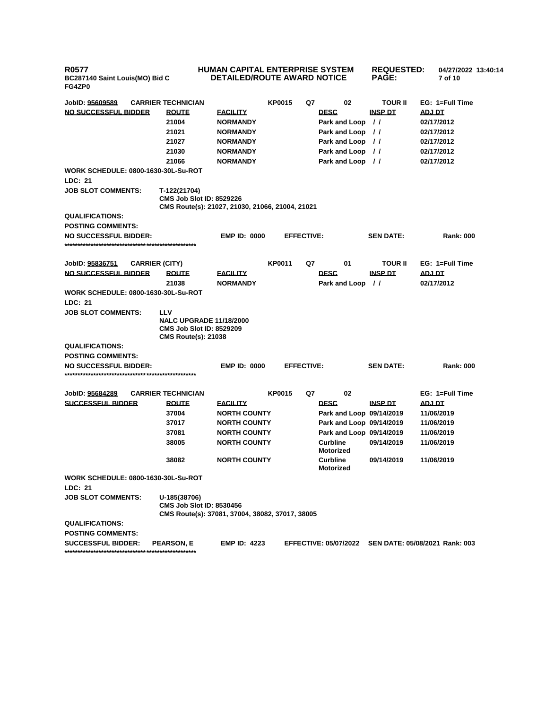**R0577 BC287140 Saint Louis(MO) Bid C FG4ZP0**

## **HUMAN CAPITAL ENTERPRISE SYSTEM DETAILED/ROUTE AWARD NOTICE**

**REQUESTED: 04/27/2022 13:40:14 PAGE: 7 of 10 JobID: 95609589 CARRIER TECHNICIAN KP0015 Q7 02 TOUR II EG: 1=Full Time NO SUCCESSFUL BIDDER ROUTE FACILITY DESC INSP DT ADJ DT 21004 NORMANDY Park and Loop / / 02/17/2012 21021 NORMANDY Park and Loop / / 02/17/2012 21027 NORMANDY Park and Loop** //

|                                            | 21030                                                                                           | <b>NORMANDY</b>                                 |                   |                                     | Park and Loop // |                          | 02/17/2012                     |
|--------------------------------------------|-------------------------------------------------------------------------------------------------|-------------------------------------------------|-------------------|-------------------------------------|------------------|--------------------------|--------------------------------|
|                                            | 21066                                                                                           | <b>NORMANDY</b>                                 |                   |                                     | Park and Loop // |                          | 02/17/2012                     |
| <b>WORK SCHEDULE: 0800-1630-30L-Su-ROT</b> |                                                                                                 |                                                 |                   |                                     |                  |                          |                                |
| <b>LDC: 21</b>                             |                                                                                                 |                                                 |                   |                                     |                  |                          |                                |
| <b>JOB SLOT COMMENTS:</b>                  | T-122(21704)<br><b>CMS Job Slot ID: 8529226</b>                                                 | CMS Route(s): 21027, 21030, 21066, 21004, 21021 |                   |                                     |                  |                          |                                |
| <b>QUALIFICATIONS:</b>                     |                                                                                                 |                                                 |                   |                                     |                  |                          |                                |
| <b>POSTING COMMENTS:</b>                   |                                                                                                 |                                                 |                   |                                     |                  |                          |                                |
| <b>NO SUCCESSFUL BIDDER:</b>               |                                                                                                 | <b>EMP ID: 0000</b>                             | <b>EFFECTIVE:</b> |                                     |                  | <b>SEN DATE:</b>         | <b>Rank: 000</b>               |
|                                            |                                                                                                 |                                                 |                   |                                     |                  |                          |                                |
| JobID: 95836751                            | <b>CARRIER (CITY)</b>                                                                           |                                                 | <b>KP0011</b>     | Q7                                  | 01               | <b>TOUR II</b>           | EG: 1=Full Time                |
| <b>NO SUCCESSFUL BIDDER</b>                | <b>ROUTE</b>                                                                                    | <b>EACILITY</b>                                 |                   | <b>DESC</b>                         |                  | <b>INSP DT</b>           | ADJ DT                         |
|                                            | 21038                                                                                           | <b>NORMANDY</b>                                 |                   |                                     | Park and Loop    | $\prime$                 | 02/17/2012                     |
| <b>WORK SCHEDULE: 0800-1630-30L-Su-ROT</b> |                                                                                                 |                                                 |                   |                                     |                  |                          |                                |
| <b>LDC: 21</b>                             |                                                                                                 |                                                 |                   |                                     |                  |                          |                                |
| <b>JOB SLOT COMMENTS:</b>                  | <b>LLV</b>                                                                                      |                                                 |                   |                                     |                  |                          |                                |
|                                            | <b>NALC UPGRADE 11/18/2000</b><br><b>CMS Job Slot ID: 8529209</b><br><b>CMS Route(s): 21038</b> |                                                 |                   |                                     |                  |                          |                                |
| <b>QUALIFICATIONS:</b>                     |                                                                                                 |                                                 |                   |                                     |                  |                          |                                |
| <b>POSTING COMMENTS:</b>                   |                                                                                                 |                                                 |                   |                                     |                  |                          |                                |
| <b>NO SUCCESSFUL BIDDER:</b>               |                                                                                                 | <b>EMP ID: 0000</b>                             | <b>EFFECTIVE:</b> |                                     |                  | <b>SEN DATE:</b>         | <b>Rank: 000</b>               |
|                                            |                                                                                                 |                                                 |                   |                                     |                  |                          |                                |
| JobID: 95684289                            | <b>CARRIER TECHNICIAN</b>                                                                       |                                                 | <b>KP0015</b>     | Q7                                  | 02               |                          | EG: 1=Full Time                |
| <b>SUCCESSFUL BIDDER</b>                   | <b>ROUTE</b>                                                                                    | <b>FACILITY</b>                                 |                   | <b>DESC</b>                         |                  | <b>INSP DT</b>           | <b>ADJ DT</b>                  |
|                                            | 37004                                                                                           | <b>NORTH COUNTY</b>                             |                   |                                     |                  | Park and Loop 09/14/2019 | 11/06/2019                     |
|                                            | 37017                                                                                           | <b>NORTH COUNTY</b>                             |                   |                                     |                  | Park and Loop 09/14/2019 | 11/06/2019                     |
|                                            | 37081                                                                                           | <b>NORTH COUNTY</b>                             |                   |                                     |                  | Park and Loop 09/14/2019 | 11/06/2019                     |
|                                            | 38005                                                                                           | <b>NORTH COUNTY</b>                             |                   | <b>Curbline</b><br><b>Motorized</b> |                  | 09/14/2019               | 11/06/2019                     |
|                                            | 38082                                                                                           | <b>NORTH COUNTY</b>                             |                   | <b>Curbline</b><br><b>Motorized</b> |                  | 09/14/2019               | 11/06/2019                     |
| <b>WORK SCHEDULE: 0800-1630-30L-Su-ROT</b> |                                                                                                 |                                                 |                   |                                     |                  |                          |                                |
| <b>LDC: 21</b>                             |                                                                                                 |                                                 |                   |                                     |                  |                          |                                |
| <b>JOB SLOT COMMENTS:</b>                  | U-185(38706)<br><b>CMS Job Slot ID: 8530456</b>                                                 | CMS Route(s): 37081, 37004, 38082, 37017, 38005 |                   |                                     |                  |                          |                                |
| <b>QUALIFICATIONS:</b>                     |                                                                                                 |                                                 |                   |                                     |                  |                          |                                |
| <b>POSTING COMMENTS:</b>                   |                                                                                                 |                                                 |                   |                                     |                  |                          |                                |
| <b>SUCCESSFUL BIDDER:</b>                  | <b>PEARSON, E</b>                                                                               | <b>EMP ID: 4223</b>                             |                   | <b>EFFECTIVE: 05/07/2022</b>        |                  |                          | SEN DATE: 05/08/2021 Rank: 003 |
|                                            |                                                                                                 |                                                 |                   |                                     |                  |                          |                                |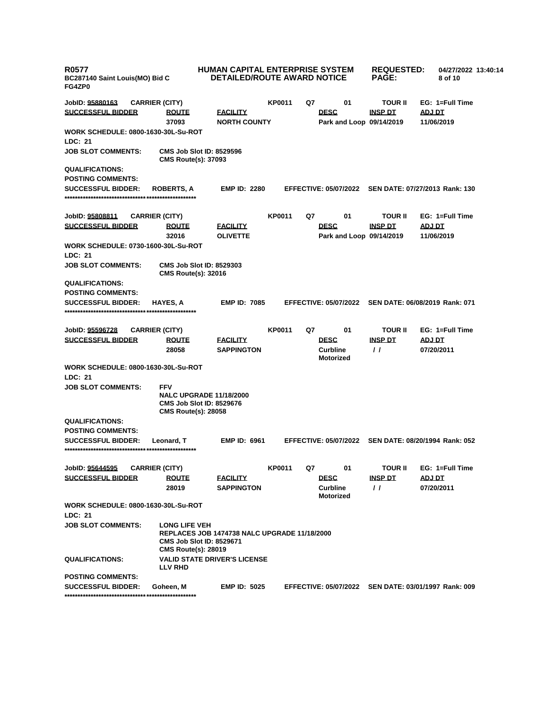| <b>R0577</b><br>BC287140 Saint Louis(MO) Bid C<br>FG4ZP0 |                                                                                       | <b>HUMAN CAPITAL ENTERPRISE SYSTEM</b><br><b>DETAILED/ROUTE AWARD NOTICE</b> | <b>REQUESTED:</b><br><b>PAGE:</b> |    | 04/27/2022 13:40:14<br>8 of 10                     |                                     |                             |                 |  |
|----------------------------------------------------------|---------------------------------------------------------------------------------------|------------------------------------------------------------------------------|-----------------------------------|----|----------------------------------------------------|-------------------------------------|-----------------------------|-----------------|--|
| JobID: 95880163                                          | <b>CARRIER (CITY)</b>                                                                 |                                                                              | <b>KP0011</b>                     | Q7 | 01                                                 | <b>TOUR II</b>                      |                             | EG: 1=Full Time |  |
| <b>SUCCESSFUL BIDDER</b>                                 | <b>ROUTE</b><br>37093                                                                 | <b>FACILITY</b><br><b>NORTH COUNTY</b>                                       |                                   |    | <b>DESC</b><br>Park and Loop 09/14/2019            | <b>INSP DT</b>                      | ADJ DT<br>11/06/2019        |                 |  |
| <b>WORK SCHEDULE: 0800-1630-30L-Su-ROT</b>               |                                                                                       |                                                                              |                                   |    |                                                    |                                     |                             |                 |  |
| <b>LDC: 21</b>                                           |                                                                                       |                                                                              |                                   |    |                                                    |                                     |                             |                 |  |
| <b>JOB SLOT COMMENTS:</b>                                | <b>CMS Job Slot ID: 8529596</b><br><b>CMS Route(s): 37093</b>                         |                                                                              |                                   |    |                                                    |                                     |                             |                 |  |
| <b>QUALIFICATIONS:</b>                                   |                                                                                       |                                                                              |                                   |    |                                                    |                                     |                             |                 |  |
| <b>POSTING COMMENTS:</b>                                 |                                                                                       |                                                                              |                                   |    |                                                    |                                     |                             |                 |  |
| <b>SUCCESSFUL BIDDER:</b>                                | <b>ROBERTS, A</b>                                                                     | <b>EMP ID: 2280</b>                                                          |                                   |    | <b>EFFECTIVE: 05/07/2022</b>                       | SEN DATE: 07/27/2013 Rank: 130      |                             |                 |  |
| JobID: <u>95808811</u>                                   | <b>CARRIER (CITY)</b>                                                                 |                                                                              | <b>KP0011</b>                     | Q7 | 01                                                 | <b>TOUR II</b>                      |                             | EG: 1=Full Time |  |
| <b>SUCCESSFUL BIDDER</b>                                 | <b>ROUTE</b><br>32016                                                                 | <b>FACILITY</b><br><b>OLIVETTE</b>                                           |                                   |    | <b>DESC</b><br>Park and Loop 09/14/2019            | <b>INSP DT</b>                      | <b>ADJ DT</b><br>11/06/2019 |                 |  |
| <b>WORK SCHEDULE: 0730-1600-30L-Su-ROT</b>               |                                                                                       |                                                                              |                                   |    |                                                    |                                     |                             |                 |  |
| LDC: 21                                                  |                                                                                       |                                                                              |                                   |    |                                                    |                                     |                             |                 |  |
| <b>JOB SLOT COMMENTS:</b>                                | <b>CMS Job Slot ID: 8529303</b><br><b>CMS Route(s): 32016</b>                         |                                                                              |                                   |    |                                                    |                                     |                             |                 |  |
| <b>QUALIFICATIONS:</b>                                   |                                                                                       |                                                                              |                                   |    |                                                    |                                     |                             |                 |  |
| <b>POSTING COMMENTS:</b>                                 |                                                                                       |                                                                              |                                   |    |                                                    |                                     |                             |                 |  |
| <b>SUCCESSFUL BIDDER:</b>                                | <b>HAYES, A</b>                                                                       | <b>EMP ID: 7085</b>                                                          |                                   |    | <b>EFFECTIVE: 05/07/2022</b>                       | SEN DATE: 06/08/2019 Rank: 071      |                             |                 |  |
| JobID: 95596728                                          | <b>CARRIER (CITY)</b>                                                                 |                                                                              | <b>KP0011</b>                     | Q7 | 01                                                 | <b>TOUR II</b>                      |                             | EG: 1=Full Time |  |
| <b>SUCCESSFUL BIDDER</b>                                 | <b>ROUTE</b><br>28058                                                                 | <b>FACILITY</b><br><b>SAPPINGTON</b>                                         |                                   |    | <b>DESC</b><br><b>Curbline</b>                     | <b>INSP DT</b><br>$\prime$ $\prime$ | <b>ADJ DT</b><br>07/20/2011 |                 |  |
|                                                          |                                                                                       |                                                                              |                                   |    | <b>Motorized</b>                                   |                                     |                             |                 |  |
| <b>WORK SCHEDULE: 0800-1630-30L-Su-ROT</b><br>LDC: 21    |                                                                                       |                                                                              |                                   |    |                                                    |                                     |                             |                 |  |
| <b>JOB SLOT COMMENTS:</b>                                | <b>FFV</b>                                                                            |                                                                              |                                   |    |                                                    |                                     |                             |                 |  |
|                                                          | <b>CMS Job Slot ID: 8529676</b><br><b>CMS Route(s): 28058</b>                         | <b>NALC UPGRADE 11/18/2000</b>                                               |                                   |    |                                                    |                                     |                             |                 |  |
| <b>QUALIFICATIONS:</b>                                   |                                                                                       |                                                                              |                                   |    |                                                    |                                     |                             |                 |  |
| <b>POSTING COMMENTS:</b>                                 |                                                                                       |                                                                              |                                   |    |                                                    |                                     |                             |                 |  |
| <b>SUCCESSFUL BIDDER:</b>                                | Leonard. T                                                                            | <b>EMP ID: 6961</b>                                                          |                                   |    | <b>EFFECTIVE: 05/07/2022</b>                       | SEN DATE: 08/20/1994 Rank: 052      |                             |                 |  |
| JobID: 95644595                                          | <b>CARRIER (CITY)</b>                                                                 |                                                                              | <b>KP0011</b>                     | Q7 | 01                                                 | <b>TOUR II</b>                      |                             | EG: 1=Full Time |  |
| <b>SUCCESSFUL BIDDER</b>                                 | <b>ROUTE</b><br>28019                                                                 | <b>FACILITY</b><br><b>SAPPINGTON</b>                                         |                                   |    | <b>DESC</b><br><b>Curbline</b><br><b>Motorized</b> | <b>INSP DT</b><br>$\prime\prime$    | ADJ DT<br>07/20/2011        |                 |  |
| <b>WORK SCHEDULE: 0800-1630-30L-Su-ROT</b>               |                                                                                       |                                                                              |                                   |    |                                                    |                                     |                             |                 |  |
| LDC: 21                                                  |                                                                                       |                                                                              |                                   |    |                                                    |                                     |                             |                 |  |
| <b>JOB SLOT COMMENTS:</b>                                | <b>LONG LIFE VEH</b><br><b>CMS Job Slot ID: 8529671</b><br><b>CMS Route(s): 28019</b> | REPLACES JOB 1474738 NALC UPGRADE 11/18/2000                                 |                                   |    |                                                    |                                     |                             |                 |  |
| <b>QUALIFICATIONS:</b>                                   | <b>LLV RHD</b>                                                                        | <b>VALID STATE DRIVER'S LICENSE</b>                                          |                                   |    |                                                    |                                     |                             |                 |  |
| <b>POSTING COMMENTS:</b>                                 |                                                                                       |                                                                              |                                   |    |                                                    |                                     |                             |                 |  |
| <b>SUCCESSFUL BIDDER:</b>                                | Goheen, M                                                                             | <b>EMP ID: 5025</b>                                                          |                                   |    | <b>EFFECTIVE: 05/07/2022</b>                       | SEN DATE: 03/01/1997 Rank: 009      |                             |                 |  |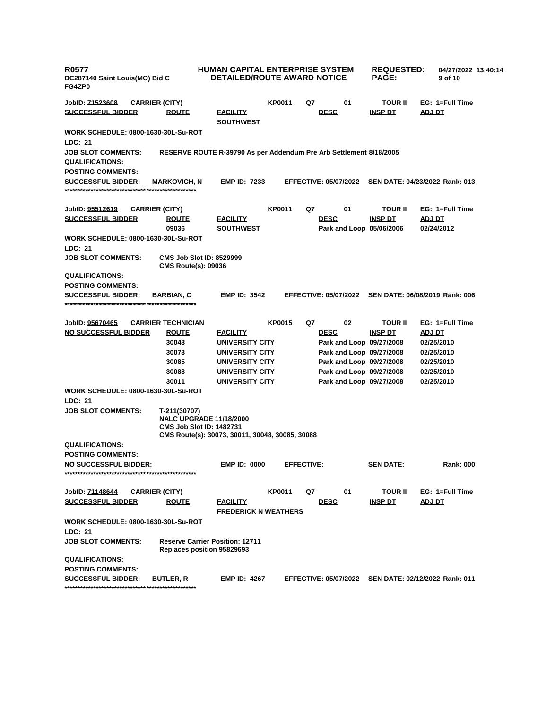| <b>R0577</b><br>BC287140 Saint Louis(MO) Bid C<br>FG4ZP0 |                                                                                                                      | <b>HUMAN CAPITAL ENTERPRISE SYSTEM</b><br><b>DETAILED/ROUTE AWARD NOTICE</b> |               |                   |                              | <b>REQUESTED:</b><br><b>PAGE:</b> | 04/27/2022 13:40:14<br>9 of 10                       |
|----------------------------------------------------------|----------------------------------------------------------------------------------------------------------------------|------------------------------------------------------------------------------|---------------|-------------------|------------------------------|-----------------------------------|------------------------------------------------------|
| JobID: 71523608                                          | <b>CARRIER (CITY)</b>                                                                                                |                                                                              | <b>KP0011</b> | Q7                | 01                           | <b>TOUR II</b>                    | EG: 1=Full Time                                      |
| <b>SUCCESSFUL BIDDER</b>                                 | <b>ROUTE</b>                                                                                                         | <u>FACILITY</u><br><b>SOUTHWEST</b>                                          |               |                   | <b>DESC</b>                  | <b>INSP DT</b>                    | ADJ DT                                               |
| <b>WORK SCHEDULE: 0800-1630-30L-Su-ROT</b><br>LDC: 21    |                                                                                                                      |                                                                              |               |                   |                              |                                   |                                                      |
| <b>JOB SLOT COMMENTS:</b>                                | RESERVE ROUTE R-39790 As per Addendum Pre Arb Settlement 8/18/2005                                                   |                                                                              |               |                   |                              |                                   |                                                      |
| <b>QUALIFICATIONS:</b>                                   |                                                                                                                      |                                                                              |               |                   |                              |                                   |                                                      |
| <b>POSTING COMMENTS:</b>                                 |                                                                                                                      |                                                                              |               |                   |                              |                                   |                                                      |
| <b>SUCCESSFUL BIDDER:</b>                                | <b>MARKOVICH, N</b>                                                                                                  | <b>EMP ID: 7233</b>                                                          |               |                   | <b>EFFECTIVE: 05/07/2022</b> |                                   | SEN DATE: 04/23/2022 Rank: 013                       |
| JobID: 95512619                                          | <b>CARRIER (CITY)</b>                                                                                                |                                                                              | <b>KP0011</b> | Q7                | 01                           | <b>TOUR II</b>                    | EG: 1=Full Time                                      |
| <b>SUCCESSFUL BIDDER</b>                                 | <b>ROUTE</b>                                                                                                         | <u>FACILITY</u>                                                              |               |                   | <b>DESC</b>                  | <b>INSP DT</b>                    | <b>ADJ DT</b>                                        |
| WORK SCHEDULE: 0800-1630-30L-Su-ROT                      | 09036                                                                                                                | <b>SOUTHWEST</b>                                                             |               |                   | Park and Loop 05/06/2006     |                                   | 02/24/2012                                           |
| LDC: 21<br><b>JOB SLOT COMMENTS:</b>                     | <b>CMS Job Slot ID: 8529999</b><br><b>CMS Route(s): 09036</b>                                                        |                                                                              |               |                   |                              |                                   |                                                      |
| <b>QUALIFICATIONS:</b>                                   |                                                                                                                      |                                                                              |               |                   |                              |                                   |                                                      |
| <b>POSTING COMMENTS:</b>                                 |                                                                                                                      |                                                                              |               |                   |                              |                                   |                                                      |
| <b>SUCCESSFUL BIDDER:</b>                                | <b>BARBIAN, C</b>                                                                                                    | <b>EMP ID: 3542</b>                                                          |               |                   | <b>EFFECTIVE: 05/07/2022</b> |                                   | SEN DATE: 06/08/2019 Rank: 006                       |
| JobID: 95670465                                          | <b>CARRIER TECHNICIAN</b>                                                                                            |                                                                              | <b>KP0015</b> | Q7                | 02                           | <b>TOUR II</b>                    | EG: 1=Full Time                                      |
| <b>NO SUCCESSFUL BIDDER</b>                              | <b>ROUTE</b>                                                                                                         | <u>FACILITY</u>                                                              |               |                   | <b>DESC</b>                  | <b>INSP DT</b>                    | <u>ADJ DT</u>                                        |
|                                                          | 30048                                                                                                                | UNIVERSITY CITY                                                              |               |                   | Park and Loop 09/27/2008     |                                   | 02/25/2010                                           |
|                                                          | 30073                                                                                                                | UNIVERSITY CITY                                                              |               |                   | Park and Loop 09/27/2008     |                                   | 02/25/2010                                           |
|                                                          | 30085                                                                                                                | UNIVERSITY CITY                                                              |               |                   | Park and Loop 09/27/2008     |                                   | 02/25/2010                                           |
|                                                          | 30088                                                                                                                | UNIVERSITY CITY                                                              |               |                   | Park and Loop 09/27/2008     |                                   | 02/25/2010                                           |
|                                                          | 30011                                                                                                                | UNIVERSITY CITY                                                              |               |                   | Park and Loop 09/27/2008     |                                   | 02/25/2010                                           |
| WORK SCHEDULE: 0800-1630-30L-Su-ROT<br><b>LDC: 21</b>    |                                                                                                                      |                                                                              |               |                   |                              |                                   |                                                      |
| <b>JOB SLOT COMMENTS:</b>                                | T-211(30707)                                                                                                         |                                                                              |               |                   |                              |                                   |                                                      |
|                                                          | <b>NALC UPGRADE 11/18/2000</b><br><b>CMS Job Slot ID: 1482731</b><br>CMS Route(s): 30073, 30011, 30048, 30085, 30088 |                                                                              |               |                   |                              |                                   |                                                      |
| <b>QUALIFICATIONS:</b>                                   |                                                                                                                      |                                                                              |               |                   |                              |                                   |                                                      |
| <b>POSTING COMMENTS:</b>                                 |                                                                                                                      |                                                                              |               |                   |                              |                                   |                                                      |
| NO SUCCESSEUL BIDDER:                                    |                                                                                                                      | <b>EMP ID: 0000</b>                                                          |               | <b>EFFECTIVE:</b> |                              | <b>SEN DATE:</b>                  | <b>Rank: 000</b>                                     |
| JobID: 71148644                                          | <b>CARRIER (CITY)</b>                                                                                                |                                                                              | <b>KP0011</b> | Q7                | 01                           | <b>TOUR II</b>                    | EG: 1=Full Time                                      |
| <b>SUCCESSFUL BIDDER</b>                                 | <b>ROUTE</b>                                                                                                         | <b>FACILITY</b><br><b>FREDERICK N WEATHERS</b>                               |               |                   | <b>DESC</b>                  | <b>INSP DT</b>                    | <b>ADJ DT</b>                                        |
| <b>WORK SCHEDULE: 0800-1630-30L-Su-ROT</b><br>LDC: 21    |                                                                                                                      |                                                                              |               |                   |                              |                                   |                                                      |
| <b>JOB SLOT COMMENTS:</b>                                | <b>Reserve Carrier Position: 12711</b><br>Replaces position 95829693                                                 |                                                                              |               |                   |                              |                                   |                                                      |
| <b>QUALIFICATIONS:</b>                                   |                                                                                                                      |                                                                              |               |                   |                              |                                   |                                                      |
| <b>POSTING COMMENTS:</b>                                 |                                                                                                                      |                                                                              |               |                   |                              |                                   |                                                      |
| <b>SUCCESSFUL BIDDER:</b>                                | <b>BUTLER, R</b>                                                                                                     | <b>EMP ID: 4267</b>                                                          |               |                   |                              |                                   | EFFECTIVE: 05/07/2022 SEN DATE: 02/12/2022 Rank: 011 |